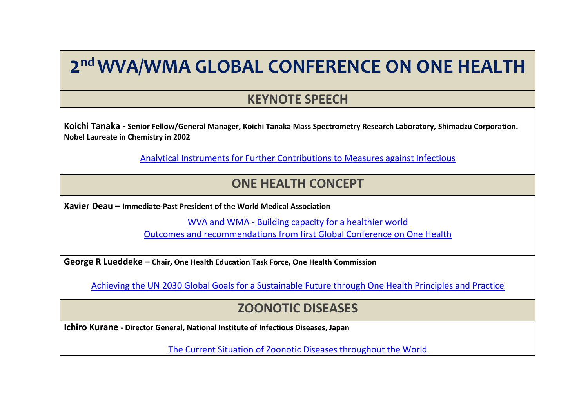# **2 nd WVA/WMA GLOBAL CONFERENCE ON ONE HEALTH**

#### **KEYNOTE SPEECH**

**Koichi Tanaka - Senior Fellow/General Manager, Koichi Tanaka Mass Spectrometry Research Laboratory, Shimadzu Corporation. Nobel Laureate in Chemistry in 2002**

[Analytical Instruments for Further Contributions to Measures against Infectious](http://www.worldvet.org/uploads/docs/1_koichi_tanaka.pdf)

#### **ONE HEALTH CONCEPT**

**Xavier Deau – Immediate-Past President of the World Medical Association**

WVA and WMA - [Building capacity for a healthier world](http://www.worldvet.org/uploads/docs/2_deau.pdf) [Outcomes and recommendations from first Global Conference on One Health](http://www.worldvet.org/uploads/docs/2_deau.pdf)

**George R Lueddeke – Chair, One Health Education Task Force, One Health Commission**

[Achieving the UN 2030 Global Goals for a Sustainable Future through One Health Principles and Practice](http://www.worldvet.org/uploads/docs/3_luddeke.pdf)

#### **ZOONOTIC DISEASES**

**Ichiro Kurane - Director General, National Institute of Infectious Diseases, Japan**

[The Current Situation of Zoonotic Diseases throughout the World](http://www.worldvet.org/uploads/docs/4_ichiro_kurane.pdf)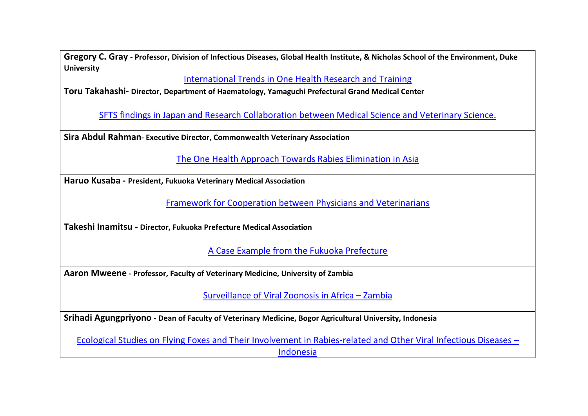**Gregory C. Gray - Professor, Division of Infectious Diseases, Global Health Institute, & Nicholas School of the Environment, Duke University**

[International Trends in One Health Research and Training](http://www.worldvet.org/uploads/docs/5_gray_international_trends_in_one_health_research_and_training_japan_2016_to_share.pdf)

**Toru Takahashi- Director, Department of Haematology, Yamaguchi Prefectural Grand Medical Center**

[SFTS findings in Japan and Research Collaboration between Medical Science and Veterinary Science.](http://www.worldvet.org/uploads/docs/6_toru_takahashi.pdf)

**Sira Abdul Rahman- Executive Director, Commonwealth Veterinary Association**

[The One Health Approach Towards Rabies Elimination in Asia](http://www.worldvet.org/uploads/docs/7_abdul__rahman_.pdf)

**Haruo Kusaba - President, Fukuoka Veterinary Medical Association** 

[Framework for Cooperation between Physicians and Veterinarians](http://www.worldvet.org/uploads/docs/8_haruo_kusaba.pdf)

**Takeshi Inamitsu - Director, Fukuoka Prefecture Medical Association** 

[A Case Example from the Fukuoka Prefecture](http://www.worldvet.org/uploads/docs/8a_takeshi_inamitsu.pdf)

**Aaron Mweene - Professor, Faculty of Veterinary Medicine, University of Zambia**

[Surveillance of Viral Zoonosis in Africa](http://www.worldvet.org/uploads/docs/9_aaron_mween.pdf) – Zambia

**Srihadi Agungpriyono - Dean of Faculty of Veterinary Medicine, Bogor Agricultural University, Indonesia**

[Ecological Studies on Flying Foxes and Their Involvement in Rabies-related and Other Viral Infectious Diseases](http://www.worldvet.org/uploads/docs/10_srihadi.pdf) – [Indonesia](http://www.worldvet.org/uploads/docs/10_srihadi.pdf)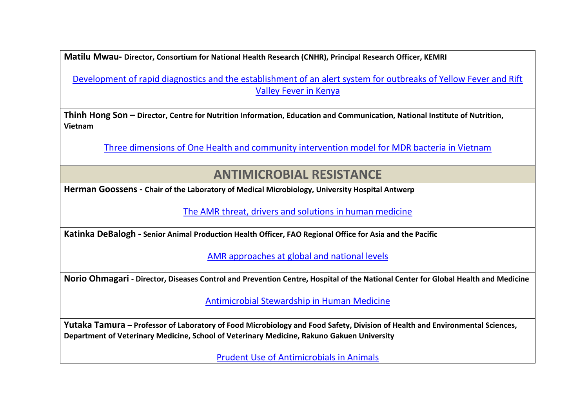**Matilu Mwau- Director, Consortium for National Health Research (CNHR), Principal Research Officer, KEMRI**

[Development of rapid diagnostics and the establishment of an alert system for outbreaks of Yellow Fever and Rift](http://www.worldvet.org/uploads/docs/11__matilu_mwau.pdf)  [Valley Fever in Kenya](http://www.worldvet.org/uploads/docs/11__matilu_mwau.pdf) 

**Thinh Hong Son – Director, Centre for Nutrition Information, Education and Communication, National Institute of Nutrition, Vietnam**

[Three dimensions of One Health and community intervention model for MDR bacteria in Vietnam](http://www.worldvet.org/uploads/docs/12_trinh_hong_son.pdf)

#### **ANTIMICROBIAL RESISTANCE**

**Herman Goossens - Chair of the Laboratory of Medical Microbiology, University Hospital Antwerp**

[The AMR threat, drivers and solutions in human medicine](http://www.worldvet.org/uploads/docs/13_goossens.pdf)

**Katinka DeBalogh - Senior Animal Production Health Officer, FAO Regional Office for Asia and the Pacific** 

[AMR approaches at global and national levels](http://www.worldvet.org/uploads/docs/14_katinka.pdf)

**Norio Ohmagari - Director, Diseases Control and Prevention Centre, Hospital of the National Center for Global Health and Medicine**

[Antimicrobial Stewardship in Human Medicine](http://www.worldvet.org/uploads/docs/15_norio_ohmagari.pdf)

**Yutaka Tamura – Professor of Laboratory of Food Microbiology and Food Safety, Division of Health and Environmental Sciences, Department of Veterinary Medicine, School of Veterinary Medicine, Rakuno Gakuen University**

[Prudent Use of Antimicrobials in Animals](http://www.worldvet.org/uploads/docs/16_yutaka_tamura.pdf)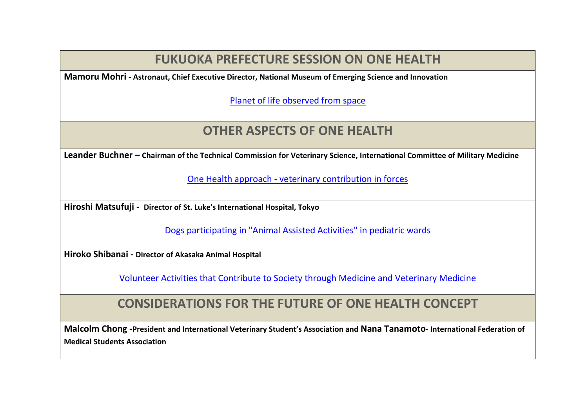## **FUKUOKA PREFECTURE SESSION ON ONE HEALTH**

**Mamoru Mohri - Astronaut, Chief Executive Director, National Museum of Emerging Science and Innovation** 

[Planet of life observed from space](http://www.worldvet.org/uploads/docs/17_mamoru_mohri.pdf)

## **OTHER ASPECTS OF ONE HEALTH**

**Leander Buchner – Chairman of the Technical Commission for Veterinary Science, International Committee of Military Medicine** 

One Health approach - [veterinary contribution in forces](http://www.worldvet.org/uploads/docs/18_buchner_.pdf)

**Hiroshi Matsufuji - Director of St. Luke's International Hospital, Tokyo**

[Dogs participating in "Animal Assisted Activities" in pediatric wards](http://www.worldvet.org/uploads/docs/19a_hiroshi_matsufuji.pdf)

**Hiroko Shibanai - Director of Akasaka Animal Hospital**

[Volunteer Activities that Contribute to Society through Medicine and Veterinary Medicine](http://www.worldvet.org/uploads/docs/19b_hiroko_shibanai.pdf)

### **CONSIDERATIONS FOR THE FUTURE OF ONE HEALTH CONCEPT**

**Malcolm Chong -President and International Veterinary Student's Association and Nana Tanamoto- International Federation of Medical Students Association**